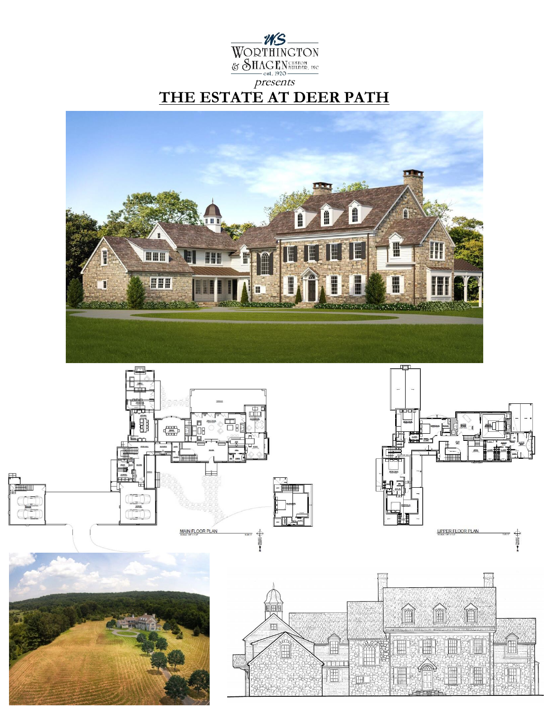